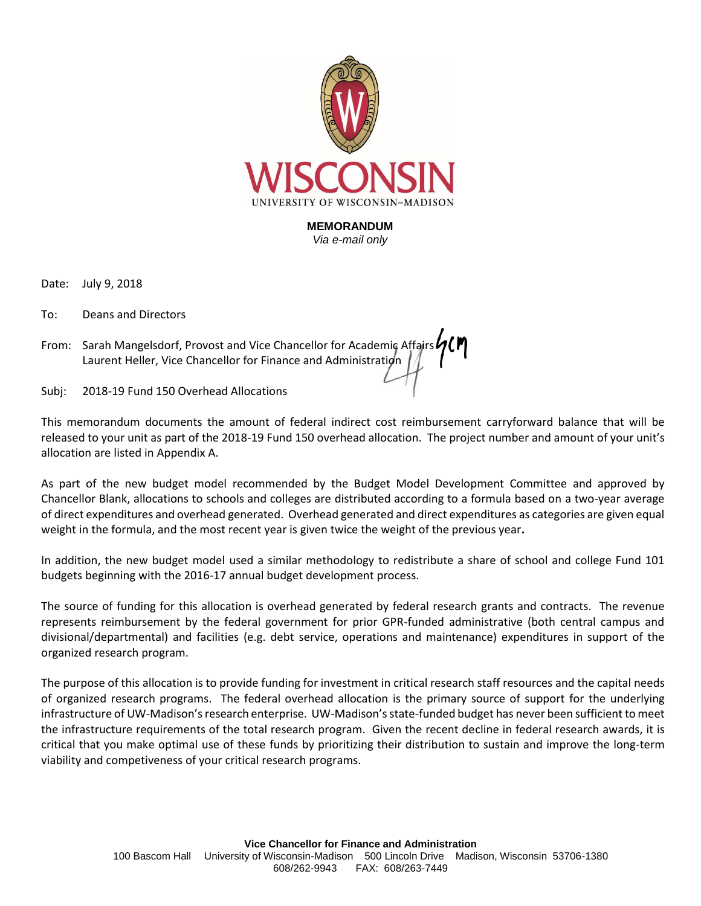

**MEMORANDUM** *Via e-mail only*

Date: July 9, 2018

To: Deans and Directors

From: Sarah Mangelsdorf, Provost and Vice Chancellor for Academic Affairs Laurent Heller, Vice Chancellor for Finance and Administration

Subj: 2018-19 Fund 150 Overhead Allocations

This memorandum documents the amount of federal indirect cost reimbursement carryforward balance that will be released to your unit as part of the 2018-19 Fund 150 overhead allocation. The project number and amount of your unit's allocation are listed in Appendix A.

As part of the new budget model recommended by the Budget Model Development Committee and approved by Chancellor Blank, allocations to schools and colleges are distributed according to a formula based on a two-year average of direct expenditures and overhead generated. Overhead generated and direct expenditures as categories are given equal weight in the formula, and the most recent year is given twice the weight of the previous year**.** 

In addition, the new budget model used a similar methodology to redistribute a share of school and college Fund 101 budgets beginning with the 2016-17 annual budget development process.

The source of funding for this allocation is overhead generated by federal research grants and contracts. The revenue represents reimbursement by the federal government for prior GPR-funded administrative (both central campus and divisional/departmental) and facilities (e.g. debt service, operations and maintenance) expenditures in support of the organized research program.

The purpose of this allocation is to provide funding for investment in critical research staff resources and the capital needs of organized research programs. The federal overhead allocation is the primary source of support for the underlying infrastructure of UW-Madison's research enterprise. UW-Madison's state-funded budget has never been sufficient to meet the infrastructure requirements of the total research program. Given the recent decline in federal research awards, it is critical that you make optimal use of these funds by prioritizing their distribution to sustain and improve the long-term viability and competiveness of your critical research programs.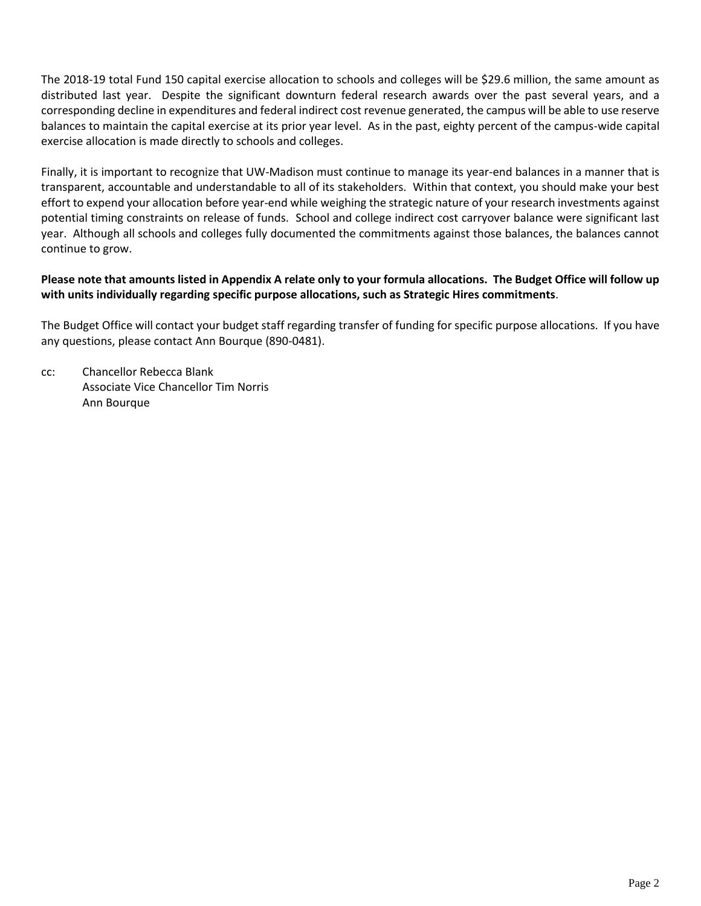The 2018-19 total Fund 150 capital exercise allocation to schools and colleges will be \$29.6 million, the same amount as distributed last year. Despite the significant downturn federal research awards over the past several years, and a corresponding decline in expenditures and federal indirect cost revenue generated, the campus will be able to use reserve balances to maintain the capital exercise at its prior year level. As in the past, eighty percent of the campus-wide capital exercise allocation is made directly to schools and colleges.

Finally, it is important to recognize that UW-Madison must continue to manage its year-end balances in a manner that is transparent, accountable and understandable to all of its stakeholders. Within that context, you should make your best effort to expend your allocation before year-end while weighing the strategic nature of your research investments against potential timing constraints on release of funds. School and college indirect cost carryover balance were significant last year. Although all schools and colleges fully documented the commitments against those balances, the balances cannot continue to grow.

## **Please note that amounts listed in Appendix A relate only to your formula allocations. The Budget Office will follow up with units individually regarding specific purpose allocations, such as Strategic Hires commitments**.

The Budget Office will contact your budget staff regarding transfer of funding for specific purpose allocations. If you have any questions, please contact Ann Bourque (890-0481).

cc: Chancellor Rebecca Blank Associate Vice Chancellor Tim Norris Ann Bourque